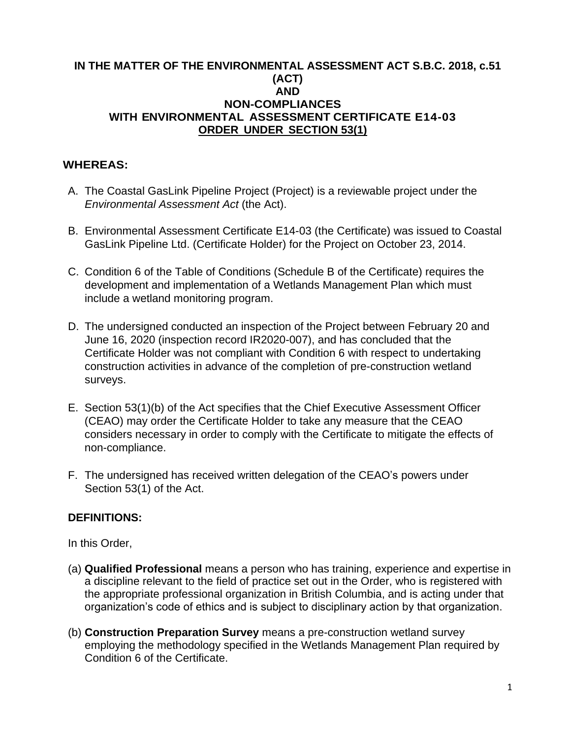#### **IN THE MATTER OF THE ENVIRONMENTAL ASSESSMENT ACT S.B.C. 2018, c.51 (ACT) AND NON-COMPLIANCES WITH ENVIRONMENTAL ASSESSMENT CERTIFICATE E14-03 ORDER UNDER SECTION 53(1)**

## **WHEREAS:**

- A. The Coastal GasLink Pipeline Project (Project) is a reviewable project under the *Environmental Assessment Act* (the Act).
- B. Environmental Assessment Certificate E14-03 (the Certificate) was issued to Coastal GasLink Pipeline Ltd. (Certificate Holder) for the Project on October 23, 2014.
- C. Condition 6 of the Table of Conditions (Schedule B of the Certificate) requires the development and implementation of a Wetlands Management Plan which must include a wetland monitoring program.
- D. The undersigned conducted an inspection of the Project between February 20 and June 16, 2020 (inspection record IR2020-007), and has concluded that the Certificate Holder was not compliant with Condition 6 with respect to undertaking construction activities in advance of the completion of pre-construction wetland surveys.
- E. Section 53(1)(b) of the Act specifies that the Chief Executive Assessment Officer (CEAO) may order the Certificate Holder to take any measure that the CEAO considers necessary in order to comply with the Certificate to mitigate the effects of non-compliance.
- F. The undersigned has received written delegation of the CEAO's powers under Section 53(1) of the Act.

### **DEFINITIONS:**

In this Order,

- (a) **Qualified Professional** means a person who has training, experience and expertise in a discipline relevant to the field of practice set out in the Order, who is registered with the appropriate professional organization in British Columbia, and is acting under that organization's code of ethics and is subject to disciplinary action by that organization.
- (b) **Construction Preparation Survey** means a pre-construction wetland survey employing the methodology specified in the Wetlands Management Plan required by Condition 6 of the Certificate.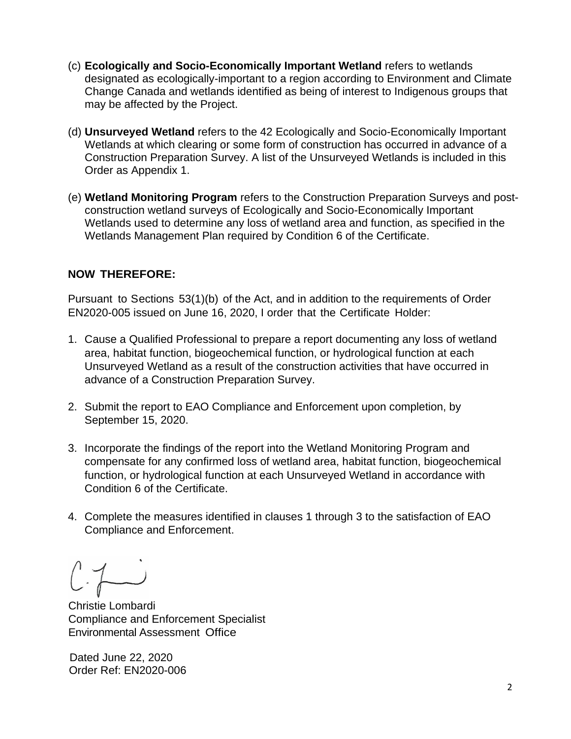- (c) **Ecologically and Socio-Economically Important Wetland** refers to wetlands designated as ecologically-important to a region according to Environment and Climate Change Canada and wetlands identified as being of interest to Indigenous groups that may be affected by the Project.
- (d) **Unsurveyed Wetland** refers to the 42 Ecologically and Socio-Economically Important Wetlands at which clearing or some form of construction has occurred in advance of a Construction Preparation Survey. A list of the Unsurveyed Wetlands is included in this Order as Appendix 1.
- (e) **Wetland Monitoring Program** refers to the Construction Preparation Surveys and postconstruction wetland surveys of Ecologically and Socio-Economically Important Wetlands used to determine any loss of wetland area and function, as specified in the Wetlands Management Plan required by Condition 6 of the Certificate.

### **NOW THEREFORE:**

Pursuant to Sections 53(1)(b) of the Act, and in addition to the requirements of Order EN2020-005 issued on June 16, 2020, I order that the Certificate Holder:

- 1. Cause a Qualified Professional to prepare a report documenting any loss of wetland area, habitat function, biogeochemical function, or hydrological function at each Unsurveyed Wetland as a result of the construction activities that have occurred in advance of a Construction Preparation Survey.
- 2. Submit the report to EAO Compliance and Enforcement upon completion, by September 15, 2020.
- 3. Incorporate the findings of the report into the Wetland Monitoring Program and compensate for any confirmed loss of wetland area, habitat function, biogeochemical function, or hydrological function at each Unsurveyed Wetland in accordance with Condition 6 of the Certificate.
- 4. Complete the measures identified in clauses 1 through 3 to the satisfaction of EAO Compliance and Enforcement.

Christie Lombardi Compliance and Enforcement Specialist Environmental Assessment Office

Dated June 22, 2020 Order Ref: EN2020-006